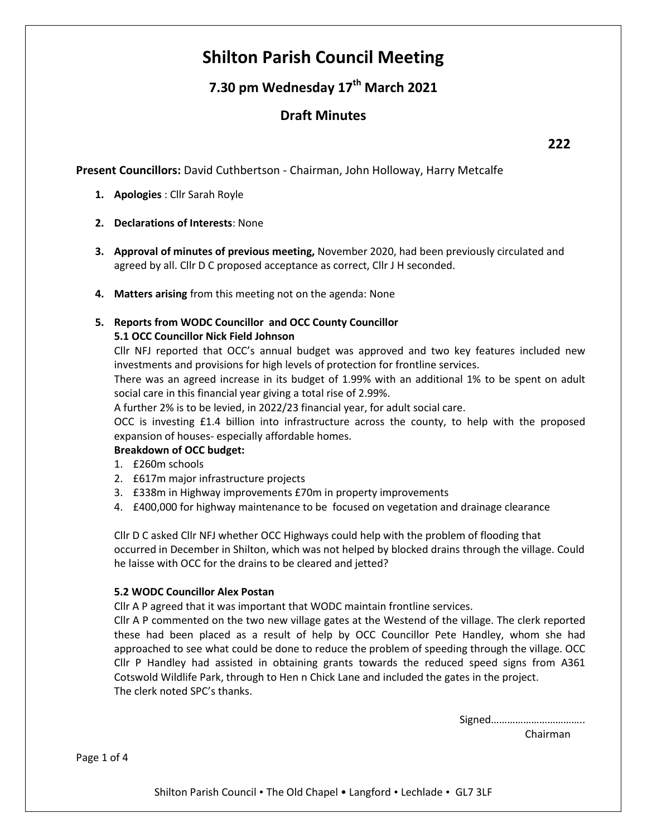# **Shilton Parish Council Meeting**

## **7.30 pm Wednesday 17th March 2021**

### **Draft Minutes**

**Present Councillors:** David Cuthbertson - Chairman, John Holloway, Harry Metcalfe

- **1. Apologies** : Cllr Sarah Royle
- **2. Declarations of Interests**: None
- **3. Approval of minutes of previous meeting,** November 2020, had been previously circulated and agreed by all. Cllr D C proposed acceptance as correct, Cllr J H seconded.
- **4. Matters arising** from this meeting not on the agenda: None

## **5. Reports from WODC Councillor and OCC County Councillor**

#### **5.1 OCC Councillor Nick Field Johnson**

Cllr NFJ reported that OCC's annual budget was approved and two key features included new investments and provisions for high levels of protection for frontline services.

There was an agreed increase in its budget of 1.99% with an additional 1% to be spent on adult social care in this financial year giving a total rise of 2.99%.

A further 2% is to be levied, in 2022/23 financial year, for adult social care.

OCC is investing £1.4 billion into infrastructure across the county, to help with the proposed expansion of houses- especially affordable homes.

#### **Breakdown of OCC budget:**

- 1. £260m schools
- 2. £617m major infrastructure projects
- 3. £338m in Highway improvements £70m in property improvements
- 4. £400,000 for highway maintenance to be focused on vegetation and drainage clearance

Cllr D C asked Cllr NFJ whether OCC Highways could help with the problem of flooding that occurred in December in Shilton, which was not helped by blocked drains through the village. Could he laisse with OCC for the drains to be cleared and jetted?

#### **5.2 WODC Councillor Alex Postan**

Cllr A P agreed that it was important that WODC maintain frontline services.

Cllr A P commented on the two new village gates at the Westend of the village. The clerk reported these had been placed as a result of help by OCC Councillor Pete Handley, whom she had approached to see what could be done to reduce the problem of speeding through the village. OCC Cllr P Handley had assisted in obtaining grants towards the reduced speed signs from A361 Cotswold Wildlife Park, through to Hen n Chick Lane and included the gates in the project. The clerk noted SPC's thanks.

Signed……………………………..

Chairman

Page 1 of 4

Shilton Parish Council • The Old Chapel • Langford • Lechlade • GL7 3LF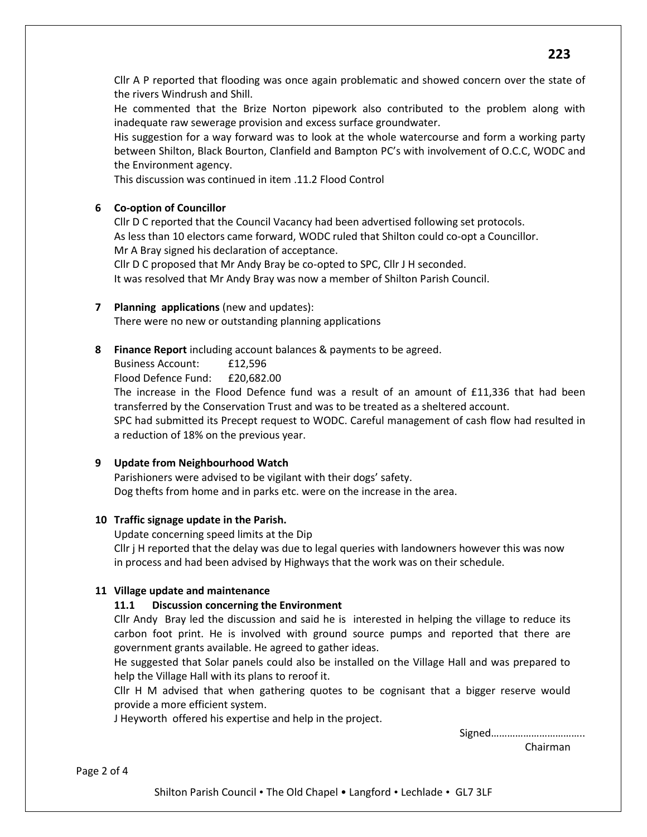Cllr A P reported that flooding was once again problematic and showed concern over the state of the rivers Windrush and Shill.

He commented that the Brize Norton pipework also contributed to the problem along with inadequate raw sewerage provision and excess surface groundwater.

His suggestion for a way forward was to look at the whole watercourse and form a working party between Shilton, Black Bourton, Clanfield and Bampton PC's with involvement of O.C.C, WODC and the Environment agency.

This discussion was continued in item .11.2 Flood Control

#### **6 Co-option of Councillor**

Cllr D C reported that the Council Vacancy had been advertised following set protocols. As less than 10 electors came forward, WODC ruled that Shilton could co-opt a Councillor. Mr A Bray signed his declaration of acceptance. Cllr D C proposed that Mr Andy Bray be co-opted to SPC, Cllr J H seconded.

It was resolved that Mr Andy Bray was now a member of Shilton Parish Council.

#### **7 Planning applications** (new and updates):

There were no new or outstanding planning applications

**8 Finance Report** including account balances & payments to be agreed.

Business Account: £12,596

Flood Defence Fund: £20,682.00

The increase in the Flood Defence fund was a result of an amount of £11,336 that had been transferred by the Conservation Trust and was to be treated as a sheltered account.

SPC had submitted its Precept request to WODC. Careful management of cash flow had resulted in a reduction of 18% on the previous year.

#### **9 Update from Neighbourhood Watch**

Parishioners were advised to be vigilant with their dogs' safety. Dog thefts from home and in parks etc. were on the increase in the area.

#### **10 Traffic signage update in the Parish.**

Update concerning speed limits at the Dip

Cllr j H reported that the delay was due to legal queries with landowners however this was now in process and had been advised by Highways that the work was on their schedule.

#### **11 Village update and maintenance**

#### **11.1 Discussion concerning the Environment**

Cllr Andy Bray led the discussion and said he is interested in helping the village to reduce its carbon foot print. He is involved with ground source pumps and reported that there are government grants available. He agreed to gather ideas.

He suggested that Solar panels could also be installed on the Village Hall and was prepared to help the Village Hall with its plans to reroof it.

Cllr H M advised that when gathering quotes to be cognisant that a bigger reserve would provide a more efficient system.

J Heyworth offered his expertise and help in the project.

Signed……………………………..

Chairman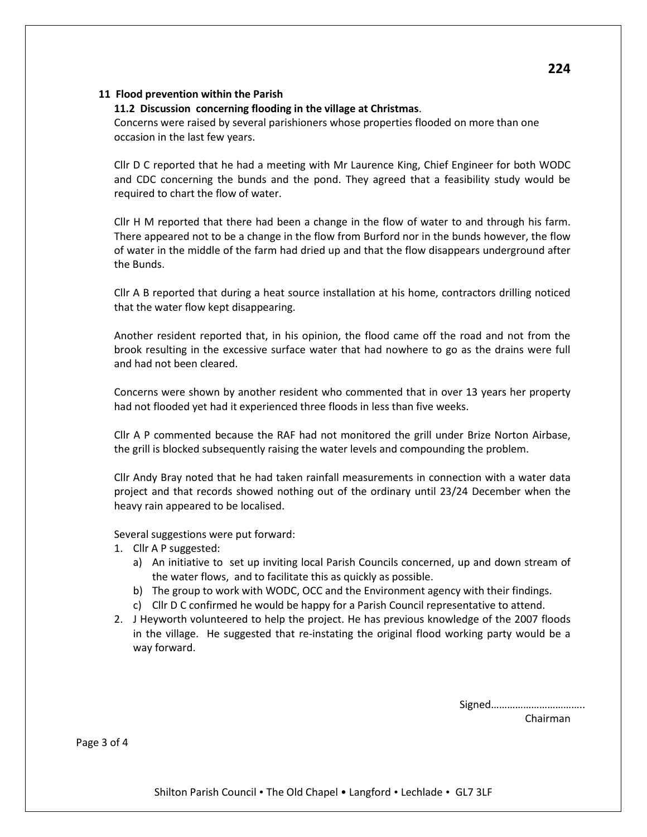#### **11 Flood prevention within the Parish**

#### **11.2 Discussion concerning flooding in the village at Christmas**.

Concerns were raised by several parishioners whose properties flooded on more than one occasion in the last few years.

Cllr D C reported that he had a meeting with Mr Laurence King, Chief Engineer for both WODC and CDC concerning the bunds and the pond. They agreed that a feasibility study would be required to chart the flow of water.

Cllr H M reported that there had been a change in the flow of water to and through his farm. There appeared not to be a change in the flow from Burford nor in the bunds however, the flow of water in the middle of the farm had dried up and that the flow disappears underground after the Bunds.

Cllr A B reported that during a heat source installation at his home, contractors drilling noticed that the water flow kept disappearing.

Another resident reported that, in his opinion, the flood came off the road and not from the brook resulting in the excessive surface water that had nowhere to go as the drains were full and had not been cleared.

Concerns were shown by another resident who commented that in over 13 years her property had not flooded yet had it experienced three floods in less than five weeks.

Cllr A P commented because the RAF had not monitored the grill under Brize Norton Airbase, the grill is blocked subsequently raising the water levels and compounding the problem.

Cllr Andy Bray noted that he had taken rainfall measurements in connection with a water data project and that records showed nothing out of the ordinary until 23/24 December when the heavy rain appeared to be localised.

Several suggestions were put forward:

- 1. Cllr A P suggested:
	- a) An initiative to set up inviting local Parish Councils concerned, up and down stream of the water flows, and to facilitate this as quickly as possible.
	- b) The group to work with WODC, OCC and the Environment agency with their findings.
	- c) Cllr D C confirmed he would be happy for a Parish Council representative to attend.
- 2. J Heyworth volunteered to help the project. He has previous knowledge of the 2007 floods in the village. He suggested that re-instating the original flood working party would be a way forward.

Signed…………………………….. Chairman

Page 3 of 4

Shilton Parish Council • The Old Chapel • Langford • Lechlade • GL7 3LF